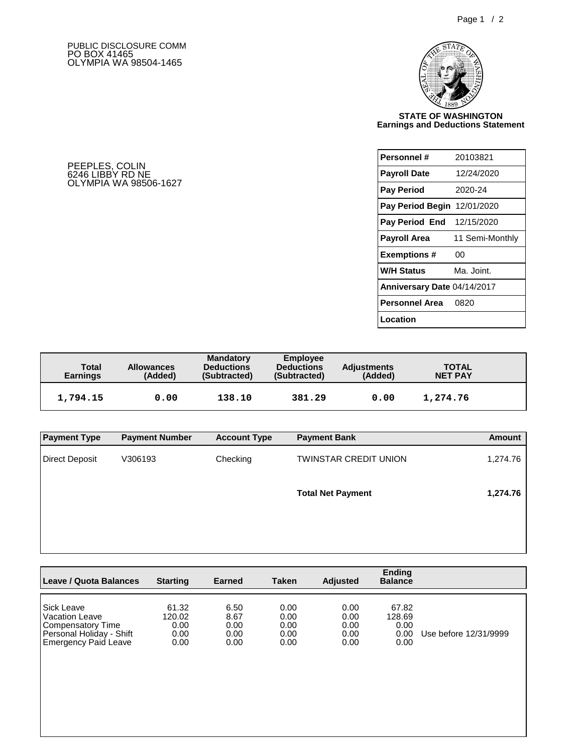## PUBLIC DISCLOSURE COMM PO BOX 41465 OLYMPIA WA 98504-1465



## **STATE OF WASHINGTON Earnings and Deductions Statement**

| Personnel #                        | 20103821        |  |  |  |  |
|------------------------------------|-----------------|--|--|--|--|
| <b>Payroll Date</b>                | 12/24/2020      |  |  |  |  |
| <b>Pay Period</b>                  | 2020-24         |  |  |  |  |
| <b>Pay Period Begin 12/01/2020</b> |                 |  |  |  |  |
| <b>Pay Period End</b> 12/15/2020   |                 |  |  |  |  |
| Payroll Area                       | 11 Semi-Monthly |  |  |  |  |
| <b>Exemptions#</b>                 | 00              |  |  |  |  |
| <b>W/H Status</b>                  | Ma. Joint.      |  |  |  |  |
| Anniversary Date 04/14/2017        |                 |  |  |  |  |
| Personnel Area                     | 0820            |  |  |  |  |
| Location                           |                 |  |  |  |  |

PEEPLES, COLIN 6246 LIBBY RD NE OLYMPIA WA 98506-1627

| Total<br><b>Earnings</b> | <b>Allowances</b><br>(Added) | <b>Mandatory</b><br><b>Deductions</b><br>(Subtracted) | Employee<br><b>Deductions</b><br>(Subtracted) | <b>Adjustments</b><br>(Added) | <b>TOTAL</b><br><b>NET PAY</b> |  |
|--------------------------|------------------------------|-------------------------------------------------------|-----------------------------------------------|-------------------------------|--------------------------------|--|
| 1,794.15                 | 0.00                         | 138.10                                                | 381.29                                        | 0.00                          | 1,274.76                       |  |

| <b>Payment Type</b> | <b>Payment Number</b> | <b>Account Type</b> | <b>Payment Bank</b>          | Amount   |
|---------------------|-----------------------|---------------------|------------------------------|----------|
| Direct Deposit      | V306193               | Checking            | <b>TWINSTAR CREDIT UNION</b> | 1,274.76 |
|                     |                       |                     | <b>Total Net Payment</b>     | 1,274.76 |
|                     |                       |                     |                              |          |

| Leave / Quota Balances   | <b>Starting</b> | Earned | Taken | <b>Adjusted</b> | <b>Ending</b><br><b>Balance</b> |                       |
|--------------------------|-----------------|--------|-------|-----------------|---------------------------------|-----------------------|
| l Sick Leave             | 61.32           | 6.50   | 0.00  | 0.00            | 67.82                           | Use before 12/31/9999 |
| l Vacation Leave         | 120.02          | 8.67   | 0.00  | 0.00            | 128.69                          |                       |
| Compensatory Time        | 0.00            | 0.00   | 0.00  | 0.00            | 0.00                            |                       |
| Personal Holiday - Shift | 0.00            | 0.00   | 0.00  | 0.00            | 0.00                            |                       |
| Emergency Paid Leave     | 0.00            | 0.00   | 0.00  | 0.00            | 0.00                            |                       |